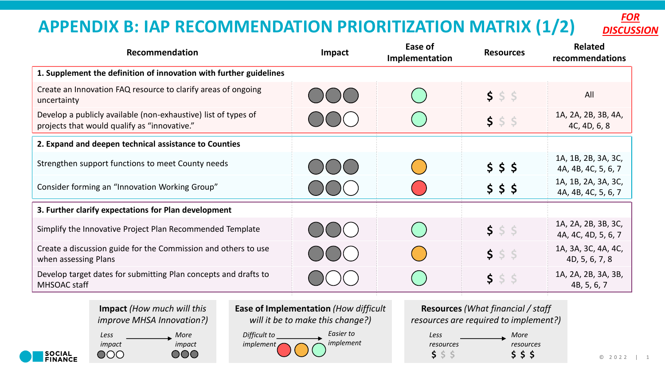## **APPENDIX B: IAP RECOMMENDATION PRIORITIZATION MATRIX (1/2)**

| <i><b>FOR</b></i> |
|-------------------|
| <b>DISCUSSION</b> |

| Recommendation                                                                                                 | Impact              | Ease of<br>Implementation | <b>Resources</b> | <b>Related</b><br>recommendations          |
|----------------------------------------------------------------------------------------------------------------|---------------------|---------------------------|------------------|--------------------------------------------|
| 1. Supplement the definition of innovation with further guidelines                                             |                     |                           |                  |                                            |
| Create an Innovation FAQ resource to clarify areas of ongoing<br>uncertainty                                   | $\bigcup$ $\bigcup$ | $(\quad)$                 | 555              | All                                        |
| Develop a publicly available (non-exhaustive) list of types of<br>projects that would qualify as "innovative." |                     |                           | 555              | 1A, 2A, 2B, 3B, 4A,<br>4C, 4D, 6, 8        |
| 2. Expand and deepen technical assistance to Counties                                                          |                     |                           |                  |                                            |
| Strengthen support functions to meet County needs                                                              | OOO                 |                           | \$55             | 1A, 1B, 2B, 3A, 3C,<br>4A, 4B, 4C, 5, 6, 7 |
| Consider forming an "Innovation Working Group"                                                                 | $\Box$ ( $\Box$ (   |                           | 555              | 1A, 1B, 2A, 3A, 3C,<br>4A, 4B, 4C, 5, 6, 7 |
| 3. Further clarify expectations for Plan development                                                           |                     |                           |                  |                                            |
| Simplify the Innovative Project Plan Recommended Template                                                      | $\bigcup ($ $)$     | $(\ )$                    | 555              | 1A, 2A, 2B, 3B, 3C,<br>4A, 4C, 4D, 5, 6, 7 |
| Create a discussion guide for the Commission and others to use<br>when assessing Plans                         |                     | $\overline{(\ }$          | 555              | 1A, 3A, 3C, 4A, 4C,<br>4D, 5, 6, 7, 8      |
| Develop target dates for submitting Plan concepts and drafts to<br>MHSOAC staff                                |                     |                           | $5$ $5$ $5$      | 1A, 2A, 2B, 3A, 3B,<br>4B, 5, 6, 7         |

**Impact** *(How much will this improve MHSA Innovation?)*

*Less More impact impact*  $OOO$ 000

**SOCIAL<br>FINANCE** 

**Ease of Implementation** *(How difficult will it be to make this change?)*

*Difficult to implement Easier to implement*

**Resources** *(What financial / staff resources are required to implement?) Less More* 

| Less      | More      |
|-----------|-----------|
| resources | resources |
| S.        | 555       |